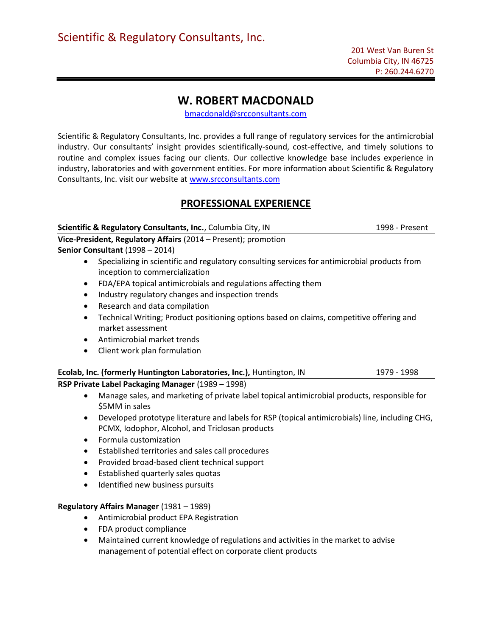# W. ROBERT MACDONALD

bmacdonald@srcconsultants.com

Scientific & Regulatory Consultants, Inc. provides a full range of regulatory services for the antimicrobial industry. Our consultants' insight provides scientifically-sound, cost-effective, and timely solutions to routine and complex issues facing our clients. Our collective knowledge base includes experience in industry, laboratories and with government entities. For more information about Scientific & Regulatory Consultants, Inc. visit our website at www.srcconsultants.com

# PROFESSIONAL EXPERIENCE

Scientific & Regulatory Consultants, Inc., Columbia City, IN 1998 - Present Vice-President, Regulatory Affairs (2014 – Present); promotion Senior Consultant (1998 – 2014) Specializing in scientific and regulatory consulting services for antimicrobial products from inception to commercialization FDA/EPA topical antimicrobials and regulations affecting them • Industry regulatory changes and inspection trends Research and data compilation Technical Writing; Product positioning options based on claims, competitive offering and market assessment Antimicrobial market trends Client work plan formulation Ecolab, Inc. (formerly Huntington Laboratories, Inc.), Huntington, IN 1979 - 1998 RSP Private Label Packaging Manager (1989 – 1998) Manage sales, and marketing of private label topical antimicrobial products, responsible for \$5MM in sales Developed prototype literature and labels for RSP (topical antimicrobials) line, including CHG, PCMX, Iodophor, Alcohol, and Triclosan products Formula customization Established territories and sales call procedures Provided broad-based client technical support Established quarterly sales quotas

• Identified new business pursuits

## Regulatory Affairs Manager (1981 – 1989)

- Antimicrobial product EPA Registration
- FDA product compliance
- Maintained current knowledge of regulations and activities in the market to advise management of potential effect on corporate client products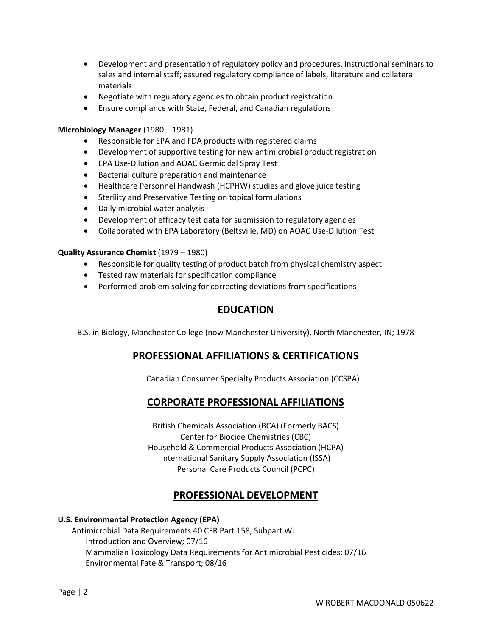- Development and presentation of regulatory policy and procedures, instructional seminars to sales and internal staff; assured regulatory compliance of labels, literature and collateral materials
- Negotiate with regulatory agencies to obtain product registration
- Ensure compliance with State, Federal, and Canadian regulations

## Microbiology Manager (1980 – 1981)

- Responsible for EPA and FDA products with registered claims
- Development of supportive testing for new antimicrobial product registration
- EPA Use-Dilution and AOAC Germicidal Spray Test
- Bacterial culture preparation and maintenance
- Healthcare Personnel Handwash (HCPHW) studies and glove juice testing
- Sterility and Preservative Testing on topical formulations
- Daily microbial water analysis
- Development of efficacy test data for submission to regulatory agencies
- Collaborated with EPA Laboratory (Beltsville, MD) on AOAC Use-Dilution Test

## Quality Assurance Chemist (1979 – 1980)

- Responsible for quality testing of product batch from physical chemistry aspect
- Tested raw materials for specification compliance
- Performed problem solving for correcting deviations from specifications

# EDUCATION

B.S. in Biology, Manchester College (now Manchester University), North Manchester, IN; 1978

# PROFESSIONAL AFFILIATIONS & CERTIFICATIONS

Canadian Consumer Specialty Products Association (CCSPA)

# CORPORATE PROFESSIONAL AFFILIATIONS

British Chemicals Association (BCA) (Formerly BACS) Center for Biocide Chemistries (CBC) Household & Commercial Products Association (HCPA) International Sanitary Supply Association (ISSA) Personal Care Products Council (PCPC)

# PROFESSIONAL DEVELOPMENT

## U.S. Environmental Protection Agency (EPA)

 Antimicrobial Data Requirements 40 CFR Part 158, Subpart W: Introduction and Overview; 07/16 Mammalian Toxicology Data Requirements for Antimicrobial Pesticides; 07/16 Environmental Fate & Transport; 08/16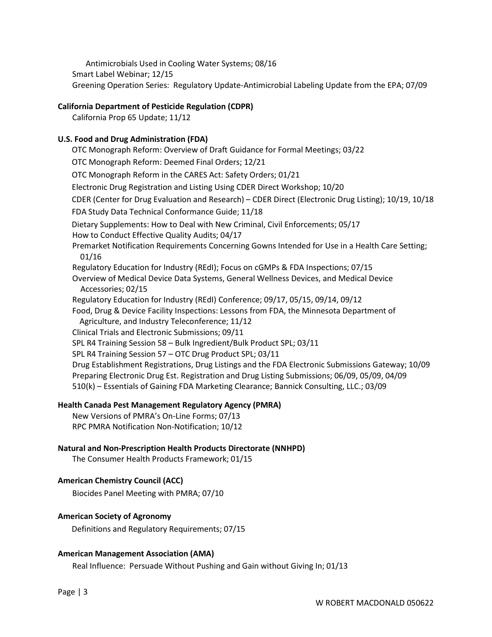Antimicrobials Used in Cooling Water Systems; 08/16 Smart Label Webinar; 12/15 Greening Operation Series: Regulatory Update-Antimicrobial Labeling Update from the EPA; 07/09

## California Department of Pesticide Regulation (CDPR)

California Prop 65 Update; 11/12

## U.S. Food and Drug Administration (FDA)

 OTC Monograph Reform: Overview of Draft Guidance for Formal Meetings; 03/22 OTC Monograph Reform: Deemed Final Orders; 12/21 OTC Monograph Reform in the CARES Act: Safety Orders; 01/21 Electronic Drug Registration and Listing Using CDER Direct Workshop; 10/20 CDER (Center for Drug Evaluation and Research) – CDER Direct (Electronic Drug Listing); 10/19, 10/18 FDA Study Data Technical Conformance Guide; 11/18 Dietary Supplements: How to Deal with New Criminal, Civil Enforcements; 05/17 How to Conduct Effective Quality Audits; 04/17 Premarket Notification Requirements Concerning Gowns Intended for Use in a Health Care Setting; 01/16 Regulatory Education for Industry (REdI); Focus on cGMPs & FDA Inspections; 07/15 Overview of Medical Device Data Systems, General Wellness Devices, and Medical Device Accessories; 02/15 Regulatory Education for Industry (REdI) Conference; 09/17, 05/15, 09/14, 09/12 Food, Drug & Device Facility Inspections: Lessons from FDA, the Minnesota Department of Agriculture, and Industry Teleconference; 11/12 Clinical Trials and Electronic Submissions; 09/11 SPL R4 Training Session 58 – Bulk Ingredient/Bulk Product SPL; 03/11 SPL R4 Training Session 57 – OTC Drug Product SPL; 03/11 Drug Establishment Registrations, Drug Listings and the FDA Electronic Submissions Gateway; 10/09 Preparing Electronic Drug Est. Registration and Drug Listing Submissions; 06/09, 05/09, 04/09 510(k) – Essentials of Gaining FDA Marketing Clearance; Bannick Consulting, LLC.; 03/09

#### Health Canada Pest Management Regulatory Agency (PMRA)

New Versions of PMRA's On-Line Forms; 07/13 RPC PMRA Notification Non-Notification; 10/12

### Natural and Non-Prescription Health Products Directorate (NNHPD)

The Consumer Health Products Framework; 01/15

## American Chemistry Council (ACC)

Biocides Panel Meeting with PMRA; 07/10

### American Society of Agronomy

Definitions and Regulatory Requirements; 07/15

#### American Management Association (AMA)

Real Influence: Persuade Without Pushing and Gain without Giving In; 01/13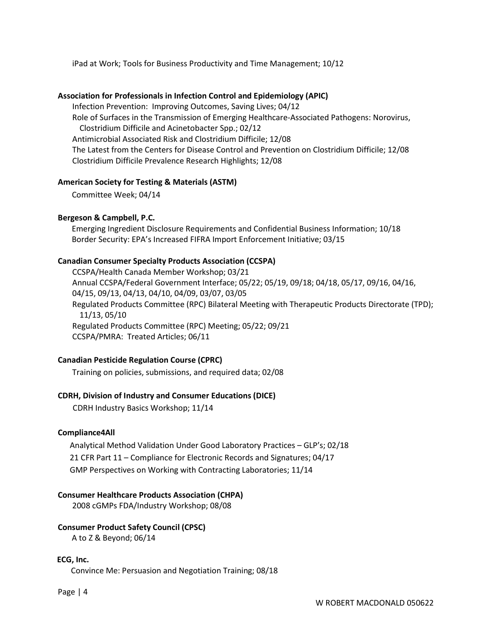iPad at Work; Tools for Business Productivity and Time Management; 10/12

#### Association for Professionals in Infection Control and Epidemiology (APIC)

Infection Prevention: Improving Outcomes, Saving Lives; 04/12 Role of Surfaces in the Transmission of Emerging Healthcare-Associated Pathogens: Norovirus, Clostridium Difficile and Acinetobacter Spp.; 02/12 Antimicrobial Associated Risk and Clostridium Difficile; 12/08 The Latest from the Centers for Disease Control and Prevention on Clostridium Difficile; 12/08 Clostridium Difficile Prevalence Research Highlights; 12/08

#### American Society for Testing & Materials (ASTM)

Committee Week; 04/14

## Bergeson & Campbell, P.C.

 Emerging Ingredient Disclosure Requirements and Confidential Business Information; 10/18 Border Security: EPA's Increased FIFRA Import Enforcement Initiative; 03/15

## Canadian Consumer Specialty Products Association (CCSPA)

CCSPA/Health Canada Member Workshop; 03/21 Annual CCSPA/Federal Government Interface; 05/22; 05/19, 09/18; 04/18, 05/17, 09/16, 04/16, 04/15, 09/13, 04/13, 04/10, 04/09, 03/07, 03/05 Regulated Products Committee (RPC) Bilateral Meeting with Therapeutic Products Directorate (TPD); 11/13, 05/10 Regulated Products Committee (RPC) Meeting; 05/22; 09/21 CCSPA/PMRA: Treated Articles; 06/11

## Canadian Pesticide Regulation Course (CPRC)

Training on policies, submissions, and required data; 02/08

## CDRH, Division of Industry and Consumer Educations (DICE)

CDRH Industry Basics Workshop; 11/14

#### Compliance4All

 Analytical Method Validation Under Good Laboratory Practices – GLP's; 02/18 21 CFR Part 11 – Compliance for Electronic Records and Signatures; 04/17 GMP Perspectives on Working with Contracting Laboratories; 11/14

#### Consumer Healthcare Products Association (CHPA)

2008 cGMPs FDA/Industry Workshop; 08/08

## Consumer Product Safety Council (CPSC)

A to Z & Beyond; 06/14

#### ECG, Inc.

Convince Me: Persuasion and Negotiation Training; 08/18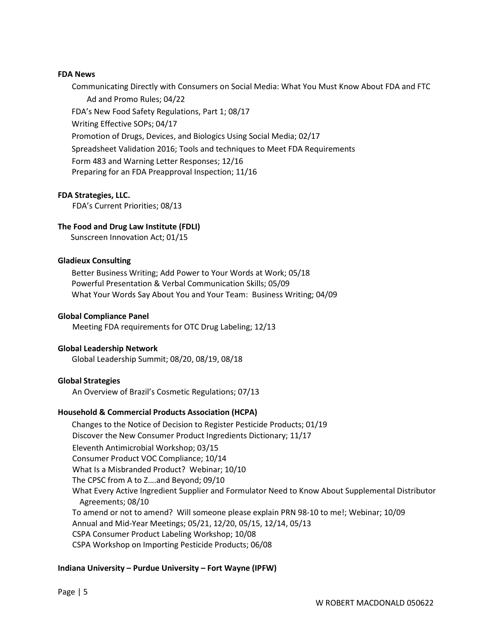### FDA News

 Communicating Directly with Consumers on Social Media: What You Must Know About FDA and FTC Ad and Promo Rules; 04/22 FDA's New Food Safety Regulations, Part 1; 08/17 Writing Effective SOPs; 04/17 Promotion of Drugs, Devices, and Biologics Using Social Media; 02/17 Spreadsheet Validation 2016; Tools and techniques to Meet FDA Requirements Form 483 and Warning Letter Responses; 12/16 Preparing for an FDA Preapproval Inspection; 11/16

## FDA Strategies, LLC.

FDA's Current Priorities; 08/13

## The Food and Drug Law Institute (FDLI)

Sunscreen Innovation Act; 01/15

## Gladieux Consulting

 Better Business Writing; Add Power to Your Words at Work; 05/18 Powerful Presentation & Verbal Communication Skills; 05/09 What Your Words Say About You and Your Team: Business Writing; 04/09

## Global Compliance Panel

Meeting FDA requirements for OTC Drug Labeling; 12/13

## Global Leadership Network

Global Leadership Summit; 08/20, 08/19, 08/18

## Global Strategies

An Overview of Brazil's Cosmetic Regulations; 07/13

## Household & Commercial Products Association (HCPA)

 Changes to the Notice of Decision to Register Pesticide Products; 01/19 Discover the New Consumer Product Ingredients Dictionary; 11/17 Eleventh Antimicrobial Workshop; 03/15 Consumer Product VOC Compliance; 10/14 What Is a Misbranded Product? Webinar; 10/10 The CPSC from A to Z….and Beyond; 09/10 What Every Active Ingredient Supplier and Formulator Need to Know About Supplemental Distributor Agreements; 08/10 To amend or not to amend? Will someone please explain PRN 98-10 to me!; Webinar; 10/09 Annual and Mid-Year Meetings; 05/21, 12/20, 05/15, 12/14, 05/13 CSPA Consumer Product Labeling Workshop; 10/08 CSPA Workshop on Importing Pesticide Products; 06/08

## Indiana University – Purdue University – Fort Wayne (IPFW)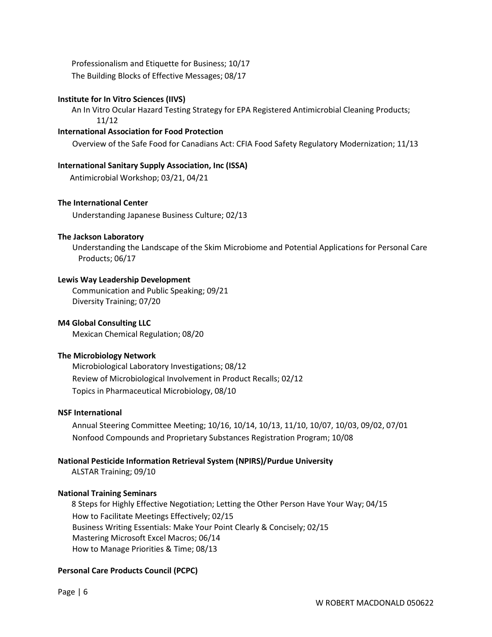Professionalism and Etiquette for Business; 10/17 The Building Blocks of Effective Messages; 08/17

# Institute for In Vitro Sciences (IIVS)

 An In Vitro Ocular Hazard Testing Strategy for EPA Registered Antimicrobial Cleaning Products; 11/12

## International Association for Food Protection

Overview of the Safe Food for Canadians Act: CFIA Food Safety Regulatory Modernization; 11/13

## International Sanitary Supply Association, Inc (ISSA)

Antimicrobial Workshop; 03/21, 04/21

## The International Center

Understanding Japanese Business Culture; 02/13

## The Jackson Laboratory

Understanding the Landscape of the Skim Microbiome and Potential Applications for Personal Care Products; 06/17

## Lewis Way Leadership Development

Communication and Public Speaking; 09/21 Diversity Training; 07/20

## M4 Global Consulting LLC

Mexican Chemical Regulation; 08/20

## The Microbiology Network

Microbiological Laboratory Investigations; 08/12 Review of Microbiological Involvement in Product Recalls; 02/12 Topics in Pharmaceutical Microbiology, 08/10

## NSF International

Annual Steering Committee Meeting; 10/16, 10/14, 10/13, 11/10, 10/07, 10/03, 09/02, 07/01 Nonfood Compounds and Proprietary Substances Registration Program; 10/08

# National Pesticide Information Retrieval System (NPIRS)/Purdue University

ALSTAR Training; 09/10

# National Training Seminars

 8 Steps for Highly Effective Negotiation; Letting the Other Person Have Your Way; 04/15 How to Facilitate Meetings Effectively; 02/15 Business Writing Essentials: Make Your Point Clearly & Concisely; 02/15 Mastering Microsoft Excel Macros; 06/14 How to Manage Priorities & Time; 08/13

# Personal Care Products Council (PCPC)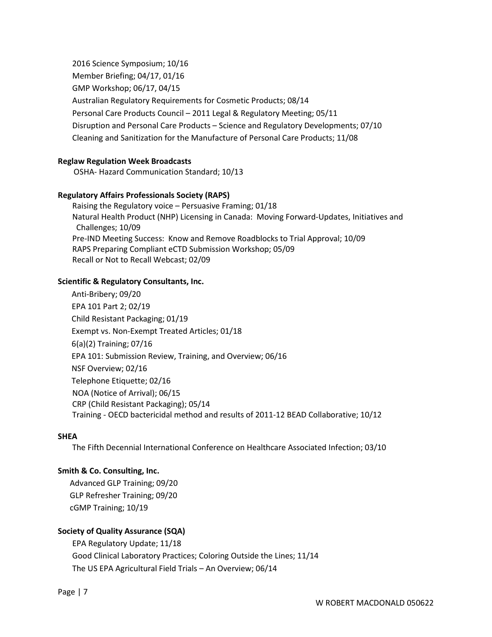2016 Science Symposium; 10/16 Member Briefing; 04/17, 01/16 GMP Workshop; 06/17, 04/15 Australian Regulatory Requirements for Cosmetic Products; 08/14 Personal Care Products Council – 2011 Legal & Regulatory Meeting; 05/11 Disruption and Personal Care Products – Science and Regulatory Developments; 07/10 Cleaning and Sanitization for the Manufacture of Personal Care Products; 11/08

## Reglaw Regulation Week Broadcasts

OSHA- Hazard Communication Standard; 10/13

#### Regulatory Affairs Professionals Society (RAPS)

Raising the Regulatory voice – Persuasive Framing; 01/18 Natural Health Product (NHP) Licensing in Canada: Moving Forward-Updates, Initiatives and Challenges; 10/09 Pre-IND Meeting Success: Know and Remove Roadblocks to Trial Approval; 10/09 RAPS Preparing Compliant eCTD Submission Workshop; 05/09 Recall or Not to Recall Webcast; 02/09

## Scientific & Regulatory Consultants, Inc.

 Anti-Bribery; 09/20 EPA 101 Part 2; 02/19 Child Resistant Packaging; 01/19 Exempt vs. Non-Exempt Treated Articles; 01/18 6(a)(2) Training; 07/16 EPA 101: Submission Review, Training, and Overview; 06/16 NSF Overview; 02/16 Telephone Etiquette; 02/16 NOA (Notice of Arrival); 06/15 CRP (Child Resistant Packaging); 05/14 Training - OECD bactericidal method and results of 2011-12 BEAD Collaborative; 10/12

#### **SHFA**

The Fifth Decennial International Conference on Healthcare Associated Infection; 03/10

#### Smith & Co. Consulting, Inc.

 Advanced GLP Training; 09/20 GLP Refresher Training; 09/20 cGMP Training; 10/19

## Society of Quality Assurance (SQA)

EPA Regulatory Update; 11/18 Good Clinical Laboratory Practices; Coloring Outside the Lines; 11/14 The US EPA Agricultural Field Trials – An Overview; 06/14